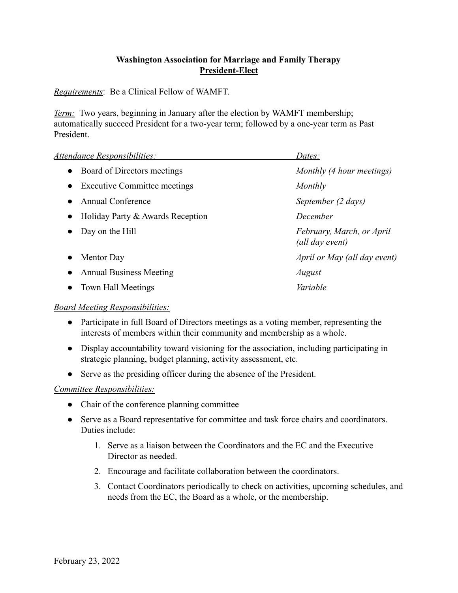## **Washington Association for Marriage and Family Therapy President-Elect**

*Requirements*: Be a Clinical Fellow of WAMFT.

*Term:* Two years, beginning in January after the election by WAMFT membership; automatically succeed President for a two-year term; followed by a one-year term as Past President.

| Attendance Responsibilities:                     | Dates:                                       |
|--------------------------------------------------|----------------------------------------------|
| Board of Directors meetings<br>$\bullet$         | Monthly (4 hour meetings)                    |
| <b>Executive Committee meetings</b><br>$\bullet$ | Monthly                                      |
| <b>Annual Conference</b>                         | September (2 days)                           |
| Holiday Party & Awards Reception<br>$\bullet$    | December                                     |
| Day on the Hill                                  | February, March, or April<br>(all day event) |
| Mentor Day                                       | April or May (all day event)                 |
| <b>Annual Business Meeting</b>                   | August                                       |
| Town Hall Meetings                               | Variable                                     |
|                                                  |                                              |

## *Board Meeting Responsibilities:*

- Participate in full Board of Directors meetings as a voting member, representing the interests of members within their community and membership as a whole.
- Display accountability toward visioning for the association, including participating in strategic planning, budget planning, activity assessment, etc.
- Serve as the presiding officer during the absence of the President.

## *Committee Responsibilities:*

- Chair of the conference planning committee
- Serve as a Board representative for committee and task force chairs and coordinators. Duties include:
	- 1. Serve as a liaison between the Coordinators and the EC and the Executive Director as needed.
	- 2. Encourage and facilitate collaboration between the coordinators.
	- 3. Contact Coordinators periodically to check on activities, upcoming schedules, and needs from the EC, the Board as a whole, or the membership.